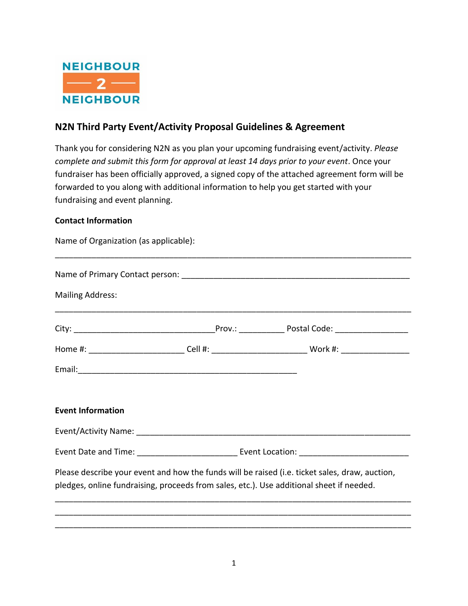

# **N2N Third Party Event/Activity Proposal Guidelines & Agreement**

Thank you for considering N2N as you plan your upcoming fundraising event/activity. *Please complete and submit this form for approval at least 14 days prior to your event*. Once your fundraiser has been officially approved, a signed copy of the attached agreement form will be forwarded to you along with additional information to help you get started with your fundraising and event planning.

## **Contact Information**

Name of Organization (as applicable):

| <b>Mailing Address:</b>                                                                        |                                                                                                      |  |
|------------------------------------------------------------------------------------------------|------------------------------------------------------------------------------------------------------|--|
|                                                                                                |                                                                                                      |  |
|                                                                                                | Home #: ____________________________Cell #: _______________________________Work #: _________________ |  |
|                                                                                                |                                                                                                      |  |
|                                                                                                |                                                                                                      |  |
| <b>Event Information</b>                                                                       |                                                                                                      |  |
|                                                                                                |                                                                                                      |  |
|                                                                                                |                                                                                                      |  |
|                                                                                                |                                                                                                      |  |
| Please describe your event and how the funds will be raised (i.e. ticket sales, draw, auction, |                                                                                                      |  |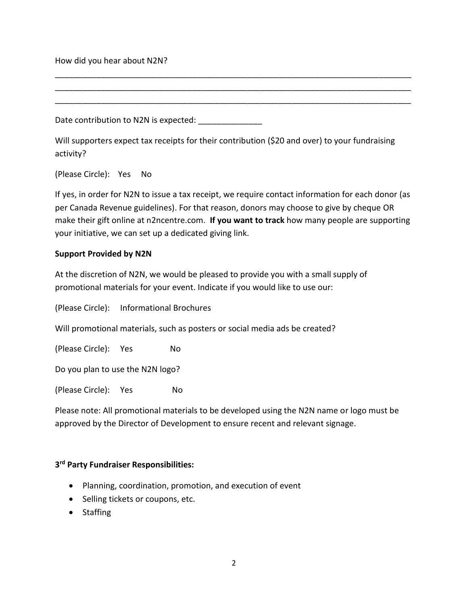How did you hear about N2N?

Date contribution to N2N is expected:

Will supporters expect tax receipts for their contribution (\$20 and over) to your fundraising activity?

\_\_\_\_\_\_\_\_\_\_\_\_\_\_\_\_\_\_\_\_\_\_\_\_\_\_\_\_\_\_\_\_\_\_\_\_\_\_\_\_\_\_\_\_\_\_\_\_\_\_\_\_\_\_\_\_\_\_\_\_\_\_\_\_\_\_\_\_\_\_\_\_\_\_\_\_\_\_ \_\_\_\_\_\_\_\_\_\_\_\_\_\_\_\_\_\_\_\_\_\_\_\_\_\_\_\_\_\_\_\_\_\_\_\_\_\_\_\_\_\_\_\_\_\_\_\_\_\_\_\_\_\_\_\_\_\_\_\_\_\_\_\_\_\_\_\_\_\_\_\_\_\_\_\_\_\_ \_\_\_\_\_\_\_\_\_\_\_\_\_\_\_\_\_\_\_\_\_\_\_\_\_\_\_\_\_\_\_\_\_\_\_\_\_\_\_\_\_\_\_\_\_\_\_\_\_\_\_\_\_\_\_\_\_\_\_\_\_\_\_\_\_\_\_\_\_\_\_\_\_\_\_\_\_\_

(Please Circle): Yes No

If yes, in order for N2N to issue a tax receipt, we require contact information for each donor (as per Canada Revenue guidelines). For that reason, donors may choose to give by cheque OR make their gift online at n2ncentre.com. **If you want to track** how many people are supporting your initiative, we can set up a dedicated giving link.

#### **Support Provided by N2N**

At the discretion of N2N, we would be pleased to provide you with a small supply of promotional materials for your event. Indicate if you would like to use our:

(Please Circle): Informational Brochures

Will promotional materials, such as posters or social media ads be created?

(Please Circle): Yes No

Do you plan to use the N2N logo?

(Please Circle): Yes No

Please note: All promotional materials to be developed using the N2N name or logo must be approved by the Director of Development to ensure recent and relevant signage.

# **3 rd Party Fundraiser Responsibilities:**

- Planning, coordination, promotion, and execution of event
- Selling tickets or coupons, etc.
- Staffing